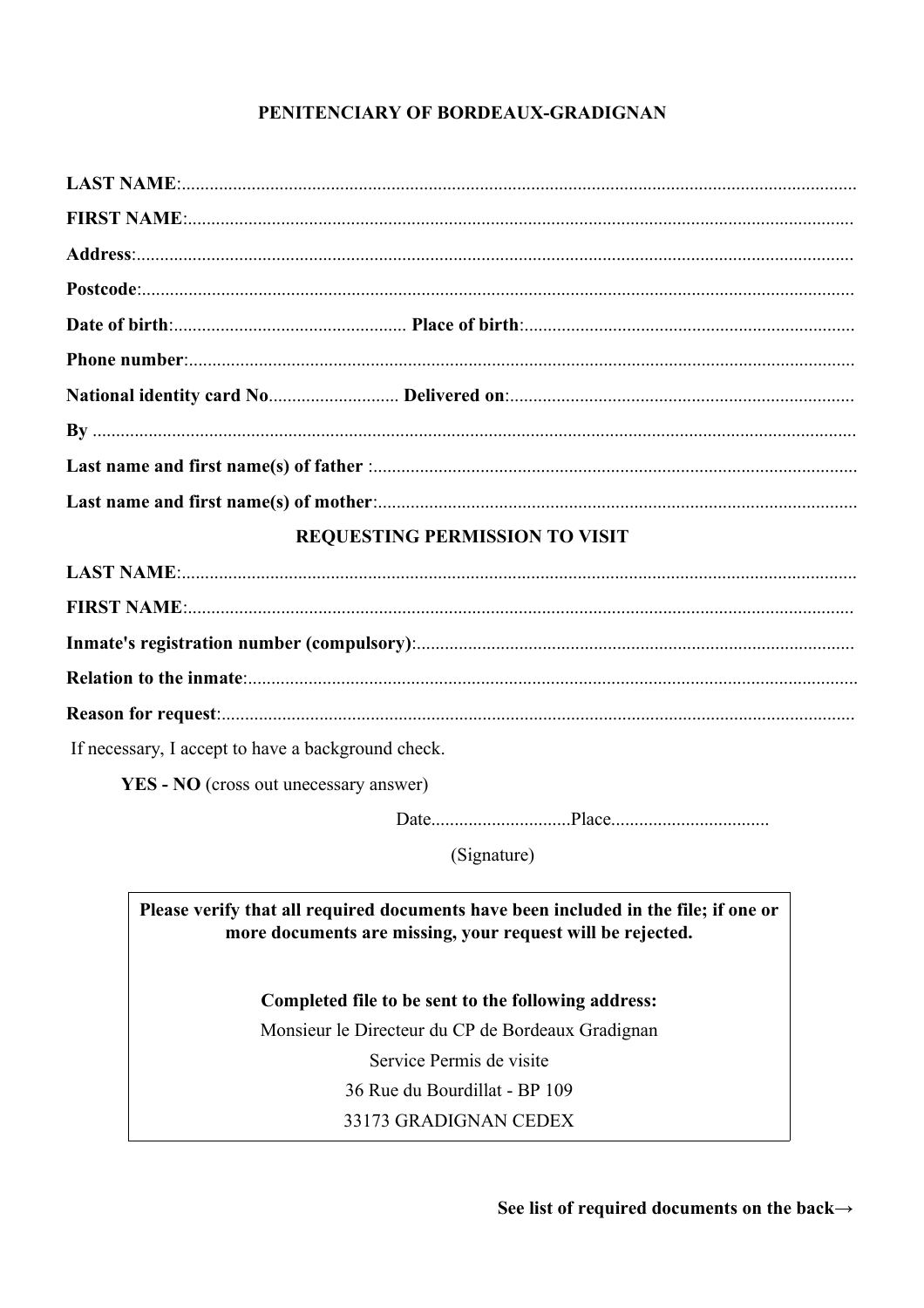# PENITENCIARY OF BORDEAUX-GRADIGNAN

## **REQUESTING PERMISSION TO VISIT**

| If necessary, I accept to have a background check. |  |
|----------------------------------------------------|--|

YES - NO (cross out unecessary answer)

(Signature)

Please verify that all required documents have been included in the file; if one or more documents are missing, your request will be rejected.

# Completed file to be sent to the following address:

Monsieur le Directeur du CP de Bordeaux Gradignan Service Permis de visite

36 Rue du Bourdillat - BP 109

33173 GRADIGNAN CEDEX